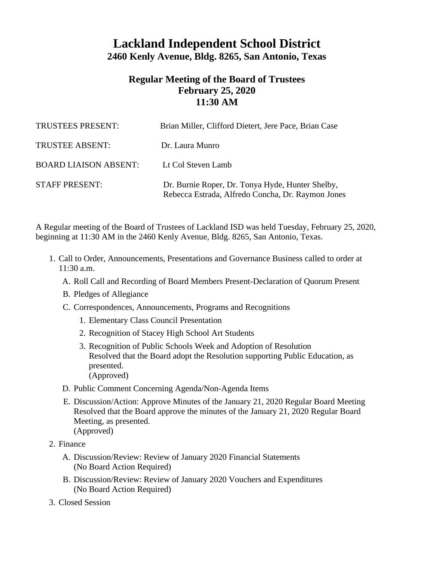## **Lackland Independent School District 2460 Kenly Avenue, Bldg. 8265, San Antonio, Texas**

## **Regular Meeting of the Board of Trustees February 25, 2020 11:30 AM**

| <b>TRUSTEES PRESENT:</b>     | Brian Miller, Clifford Dietert, Jere Pace, Brian Case                                                 |
|------------------------------|-------------------------------------------------------------------------------------------------------|
| <b>TRUSTEE ABSENT:</b>       | Dr. Laura Munro                                                                                       |
| <b>BOARD LIAISON ABSENT:</b> | Lt Col Steven Lamb                                                                                    |
| <b>STAFF PRESENT:</b>        | Dr. Burnie Roper, Dr. Tonya Hyde, Hunter Shelby,<br>Rebecca Estrada, Alfredo Concha, Dr. Raymon Jones |

A Regular meeting of the Board of Trustees of Lackland ISD was held Tuesday, February 25, 2020, beginning at 11:30 AM in the 2460 Kenly Avenue, Bldg. 8265, San Antonio, Texas.

- 1. Call to Order, Announcements, Presentations and Governance Business called to order at  $11:30$  a.m.
	- A. Roll Call and Recording of Board Members Present-Declaration of Quorum Present
	- B. Pledges of Allegiance
	- C. Correspondences, Announcements, Programs and Recognitions
		- 1. Elementary Class Council Presentation
		- 2. Recognition of Stacey High School Art Students
		- 3. Recognition of Public Schools Week and Adoption of Resolution Resolved that the Board adopt the Resolution supporting Public Education, as presented. (Approved)
	- D. Public Comment Concerning Agenda/Non-Agenda Items
	- E. Discussion/Action: Approve Minutes of the January 21, 2020 Regular Board Meeting Resolved that the Board approve the minutes of the January 21, 2020 Regular Board Meeting, as presented. (Approved)
- 2. Finance
	- A. Discussion/Review: Review of January 2020 Financial Statements (No Board Action Required)
	- B. Discussion/Review: Review of January 2020 Vouchers and Expenditures (No Board Action Required)
- 3. Closed Session